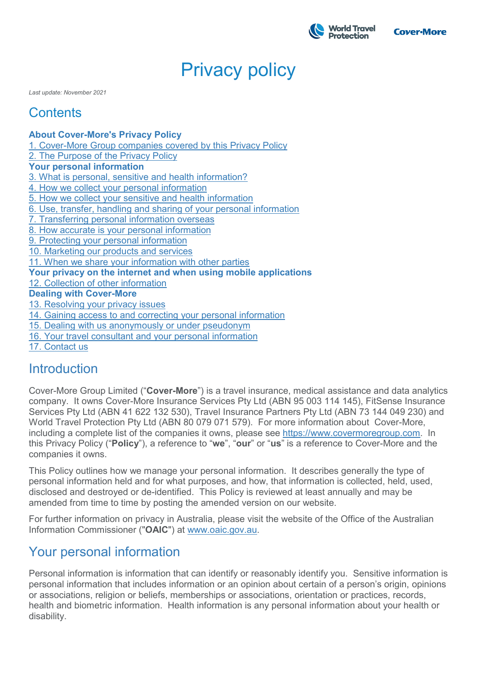

# Privacy policy

*Last update: November 2021*

# **Contents**

**[About Cover-More's Privacy Policy](https://www.covermore.com.au/covermore-privacy-policy#about)** [1. Cover-More Group companies covered by this Privacy Policy](https://www.covermore.com.au/covermore-privacy-policy#1) [2. The Purpose of the Privacy Policy](https://www.covermore.com.au/covermore-privacy-policy#2) **[Your personal information](https://www.covermore.com.au/covermore-privacy-policy#personal)** [3. What is personal, sensitive and health information?](https://www.covermore.com.au/covermore-privacy-policy#3) [4. How we collect your personal information](https://www.covermore.com.au/covermore-privacy-policy#4) [5. How we collect your sensitive and health information](https://www.covermore.com.au/covermore-privacy-policy#5) [6. Use, transfer, handling and sharing of your personal information](https://www.covermore.com.au/covermore-privacy-policy#6) [7. Transferring personal information overseas](https://www.covermore.com.au/covermore-privacy-policy#7) [8. How accurate is your personal information](https://www.covermore.com.au/covermore-privacy-policy#8) [9. Protecting your personal information](https://www.covermore.com.au/covermore-privacy-policy#9) [10. Marketing our products and services](https://www.covermore.com.au/covermore-privacy-policy#10) [11. When we share your information with other parties](https://www.covermore.com.au/covermore-privacy-policy#11) **[Your privacy on the internet](https://www.covermore.com.au/covermore-privacy-policy#internet) and when using mobile applications** [12. Collection of other information](https://www.covermore.com.au/covermore-privacy-policy#12) **[Dealing with Cover-More](https://www.covermore.com.au/covermore-privacy-policy#dealing)** [13. Resolving your privacy issues](https://www.covermore.com.au/covermore-privacy-policy#13) [14. Gaining access to and correcting your personal information](https://www.covermore.com.au/covermore-privacy-policy#14) [15. Dealing with us anonymously or under pseudonym](https://www.covermore.com.au/covermore-privacy-policy#15) [16. Your travel consultant and your personal information](https://www.covermore.com.au/covermore-privacy-policy#16) [17. Contact us](https://www.covermore.com.au/covermore-privacy-policy#17)

# Introduction

Cover-More Group Limited ("**Cover-More**") is a travel insurance, medical assistance and data analytics company. It owns Cover-More Insurance Services Pty Ltd (ABN 95 003 114 145), FitSense Insurance Services Pty Ltd (ABN 41 622 132 530), Travel Insurance Partners Pty Ltd (ABN 73 144 049 230) and World Travel Protection Pty Ltd (ABN 80 079 071 579). For more information about Cover-More, including a complete list of the companies it owns, please see [https://www.covermoregroup.com.](https://www.covermoregroup.com/) In this Privacy Policy ("**Policy**"), a reference to "**we**", "**our**" or "**us**" is a reference to Cover-More and the companies it owns.

This Policy outlines how we manage your personal information. It describes generally the type of personal information held and for what purposes, and how, that information is collected, held, used, disclosed and destroyed or de-identified. This Policy is reviewed at least annually and may be amended from time to time by posting the amended version on our website.

For further information on privacy in Australia, please visit the website of the Office of the Australian Information Commissioner ("**OAIC**") at [www.oaic.gov.au.](https://www.oaic.gov.au/)

# Your personal information

Personal information is information that can identify or reasonably identify you. Sensitive information is personal information that includes information or an opinion about certain of a person's origin, opinions or associations, religion or beliefs, memberships or associations, orientation or practices, records, health and biometric information. Health information is any personal information about your health or disability.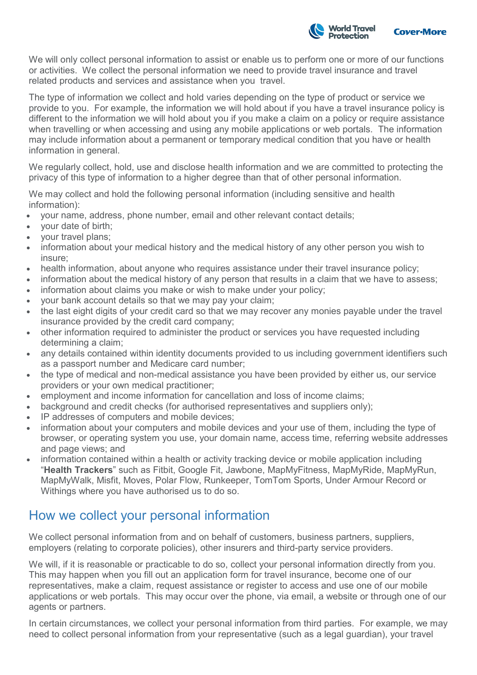

We will only collect personal information to assist or enable us to perform one or more of our functions or activities. We collect the personal information we need to provide travel insurance and travel related products and services and assistance when you travel.

The type of information we collect and hold varies depending on the type of product or service we provide to you. For example, the information we will hold about if you have a travel insurance policy is different to the information we will hold about you if you make a claim on a policy or require assistance when travelling or when accessing and using any mobile applications or web portals. The information may include information about a permanent or temporary medical condition that you have or health information in general.

We regularly collect, hold, use and disclose health information and we are committed to protecting the privacy of this type of information to a higher degree than that of other personal information.

We may collect and hold the following personal information (including sensitive and health information):

- your name, address, phone number, email and other relevant contact details;
- your date of birth;
- your travel plans;
- information about your medical history and the medical history of any other person you wish to insure;
- health information, about anyone who requires assistance under their travel insurance policy;
- information about the medical history of any person that results in a claim that we have to assess;
- information about claims you make or wish to make under your policy;
- your bank account details so that we may pay your claim;
- the last eight digits of your credit card so that we may recover any monies payable under the travel insurance provided by the credit card company;
- other information required to administer the product or services you have requested including determining a claim;
- any details contained within identity documents provided to us including government identifiers such as a passport number and Medicare card number;
- the type of medical and non-medical assistance you have been provided by either us, our service providers or your own medical practitioner;
- employment and income information for cancellation and loss of income claims;
- background and credit checks (for authorised representatives and suppliers only);
- IP addresses of computers and mobile devices;
- information about your computers and mobile devices and your use of them, including the type of browser, or operating system you use, your domain name, access time, referring website addresses and page views; and
- information contained within a health or activity tracking device or mobile application including "**Health Trackers**" such as Fitbit, Google Fit, Jawbone, MapMyFitness, MapMyRide, MapMyRun, MapMyWalk, Misfit, Moves, Polar Flow, Runkeeper, TomTom Sports, Under Armour Record or Withings where you have authorised us to do so.

# How we collect your personal information

We collect personal information from and on behalf of customers, business partners, suppliers, employers (relating to corporate policies), other insurers and third-party service providers.

We will, if it is reasonable or practicable to do so, collect your personal information directly from you. This may happen when you fill out an application form for travel insurance, become one of our representatives, make a claim, request assistance or register to access and use one of our mobile applications or web portals. This may occur over the phone, via email, a website or through one of our agents or partners.

In certain circumstances, we collect your personal information from third parties. For example, we may need to collect personal information from your representative (such as a legal guardian), your travel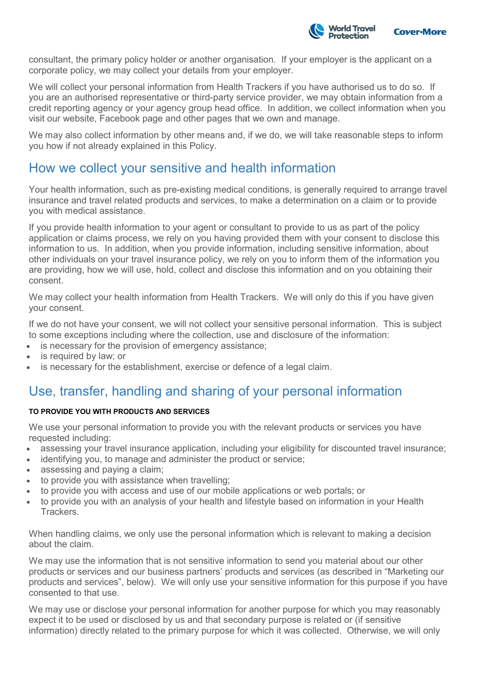

consultant, the primary policy holder or another organisation. If your employer is the applicant on a corporate policy, we may collect your details from your employer.

We will collect your personal information from Health Trackers if you have authorised us to do so. If you are an authorised representative or third-party service provider, we may obtain information from a credit reporting agency or your agency group head office. In addition, we collect information when you visit our website, Facebook page and other pages that we own and manage.

We may also collect information by other means and, if we do, we will take reasonable steps to inform you how if not already explained in this Policy.

## How we collect your sensitive and health information

Your health information, such as pre-existing medical conditions, is generally required to arrange travel insurance and travel related products and services, to make a determination on a claim or to provide you with medical assistance.

If you provide health information to your agent or consultant to provide to us as part of the policy application or claims process, we rely on you having provided them with your consent to disclose this information to us. In addition, when you provide information, including sensitive information, about other individuals on your travel insurance policy, we rely on you to inform them of the information you are providing, how we will use, hold, collect and disclose this information and on you obtaining their consent.

We may collect your health information from Health Trackers. We will only do this if you have given your consent.

If we do not have your consent, we will not collect your sensitive personal information. This is subject to some exceptions including where the collection, use and disclosure of the information:

- is necessary for the provision of emergency assistance;
- is required by law; or
- is necessary for the establishment, exercise or defence of a legal claim.

# Use, transfer, handling and sharing of your personal information

### **TO PROVIDE YOU WITH PRODUCTS AND SERVICES**

We use your personal information to provide you with the relevant products or services you have requested including:

- assessing your travel insurance application, including your eligibility for discounted travel insurance;
- identifying you, to manage and administer the product or service;
- assessing and paying a claim;
- to provide you with assistance when travelling;
- to provide you with access and use of our mobile applications or web portals; or
- to provide you with an analysis of your health and lifestyle based on information in your Health Trackers.

When handling claims, we only use the personal information which is relevant to making a decision about the claim.

We may use the information that is not sensitive information to send you material about our other products or services and our business partners' products and services (as described in "Marketing our products and services", below). We will only use your sensitive information for this purpose if you have consented to that use.

We may use or disclose your personal information for another purpose for which you may reasonably expect it to be used or disclosed by us and that secondary purpose is related or (if sensitive information) directly related to the primary purpose for which it was collected. Otherwise, we will only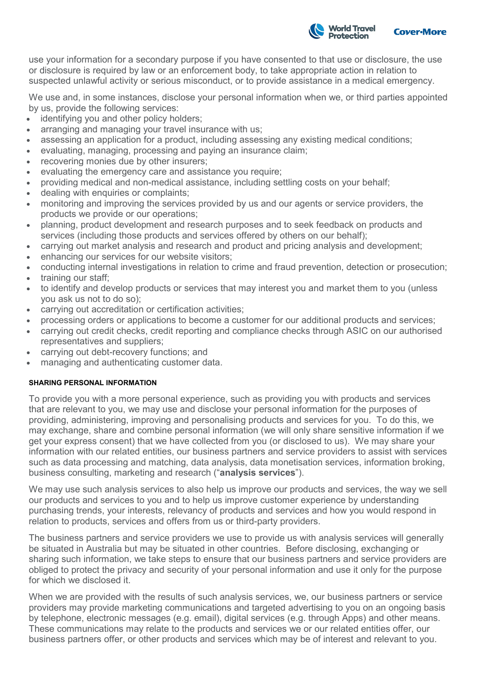

use your information for a secondary purpose if you have consented to that use or disclosure, the use or disclosure is required by law or an enforcement body, to take appropriate action in relation to suspected unlawful activity or serious misconduct, or to provide assistance in a medical emergency.

We use and, in some instances, disclose your personal information when we, or third parties appointed by us, provide the following services:

- identifying you and other policy holders;
- arranging and managing your travel insurance with us;
- assessing an application for a product, including assessing any existing medical conditions;
- evaluating, managing, processing and paying an insurance claim;
- recovering monies due by other insurers;
- evaluating the emergency care and assistance you require;
- providing medical and non-medical assistance, including settling costs on your behalf;
- dealing with enquiries or complaints;
- monitoring and improving the services provided by us and our agents or service providers, the products we provide or our operations;
- planning, product development and research purposes and to seek feedback on products and services (including those products and services offered by others on our behalf);
- carrying out market analysis and research and product and pricing analysis and development;
- enhancing our services for our website visitors;
- conducting internal investigations in relation to crime and fraud prevention, detection or prosecution;
- training our staff:
- to identify and develop products or services that may interest you and market them to you (unless you ask us not to do so);
- carrying out accreditation or certification activities;
- processing orders or applications to become a customer for our additional products and services;
- carrying out credit checks, credit reporting and compliance checks through ASIC on our authorised representatives and suppliers;
- carrying out debt-recovery functions; and
- managing and authenticating customer data.

### **SHARING PERSONAL INFORMATION**

To provide you with a more personal experience, such as providing you with products and services that are relevant to you, we may use and disclose your personal information for the purposes of providing, administering, improving and personalising products and services for you. To do this, we may exchange, share and combine personal information (we will only share sensitive information if we get your express consent) that we have collected from you (or disclosed to us). We may share your information with our related entities, our business partners and service providers to assist with services such as data processing and matching, data analysis, data monetisation services, information broking, business consulting, marketing and research ("**analysis services**").

We may use such analysis services to also help us improve our products and services, the way we sell our products and services to you and to help us improve customer experience by understanding purchasing trends, your interests, relevancy of products and services and how you would respond in relation to products, services and offers from us or third-party providers.

The business partners and service providers we use to provide us with analysis services will generally be situated in Australia but may be situated in other countries. Before disclosing, exchanging or sharing such information, we take steps to ensure that our business partners and service providers are obliged to protect the privacy and security of your personal information and use it only for the purpose for which we disclosed it.

When we are provided with the results of such analysis services, we, our business partners or service providers may provide marketing communications and targeted advertising to you on an ongoing basis by telephone, electronic messages (e.g. email), digital services (e.g. through Apps) and other means. These communications may relate to the products and services we or our related entities offer, our business partners offer, or other products and services which may be of interest and relevant to you.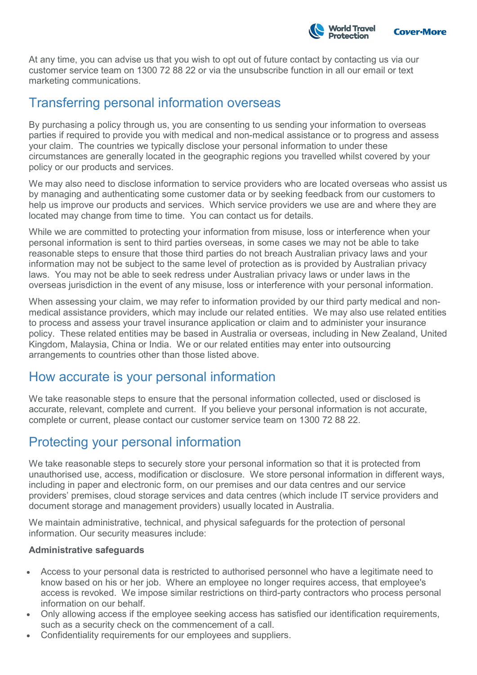

At any time, you can advise us that you wish to opt out of future contact by contacting us via our customer service team on 1300 72 88 22 or via the unsubscribe function in all our email or text marketing communications.

### Transferring personal information overseas

By purchasing a policy through us, you are consenting to us sending your information to overseas parties if required to provide you with medical and non-medical assistance or to progress and assess your claim. The countries we typically disclose your personal information to under these circumstances are generally located in the geographic regions you travelled whilst covered by your policy or our products and services.

We may also need to disclose information to service providers who are located overseas who assist us by managing and authenticating some customer data or by seeking feedback from our customers to help us improve our products and services. Which service providers we use are and where they are located may change from time to time. You can contact us for details.

While we are committed to protecting your information from misuse, loss or interference when your personal information is sent to third parties overseas, in some cases we may not be able to take reasonable steps to ensure that those third parties do not breach Australian privacy laws and your information may not be subject to the same level of protection as is provided by Australian privacy laws. You may not be able to seek redress under Australian privacy laws or under laws in the overseas jurisdiction in the event of any misuse, loss or interference with your personal information.

When assessing your claim, we may refer to information provided by our third party medical and nonmedical assistance providers, which may include our related entities. We may also use related entities to process and assess your travel insurance application or claim and to administer your insurance policy. These related entities may be based in Australia or overseas, including in New Zealand, United Kingdom, Malaysia, China or India. We or our related entities may enter into outsourcing arrangements to countries other than those listed above.

### How accurate is your personal information

We take reasonable steps to ensure that the personal information collected, used or disclosed is accurate, relevant, complete and current. If you believe your personal information is not accurate, complete or current, please contact our customer service team on 1300 72 88 22.

# Protecting your personal information

We take reasonable steps to securely store your personal information so that it is protected from unauthorised use, access, modification or disclosure. We store personal information in different ways, including in paper and electronic form, on our premises and our data centres and our service providers' premises, cloud storage services and data centres (which include IT service providers and document storage and management providers) usually located in Australia.

We maintain administrative, technical, and physical safeguards for the protection of personal information. Our security measures include:

### **Administrative safeguards**

- Access to your personal data is restricted to authorised personnel who have a legitimate need to know based on his or her job. Where an employee no longer requires access, that employee's access is revoked. We impose similar restrictions on third-party contractors who process personal information on our behalf.
- Only allowing access if the employee seeking access has satisfied our identification requirements, such as a security check on the commencement of a call.
- Confidentiality requirements for our employees and suppliers.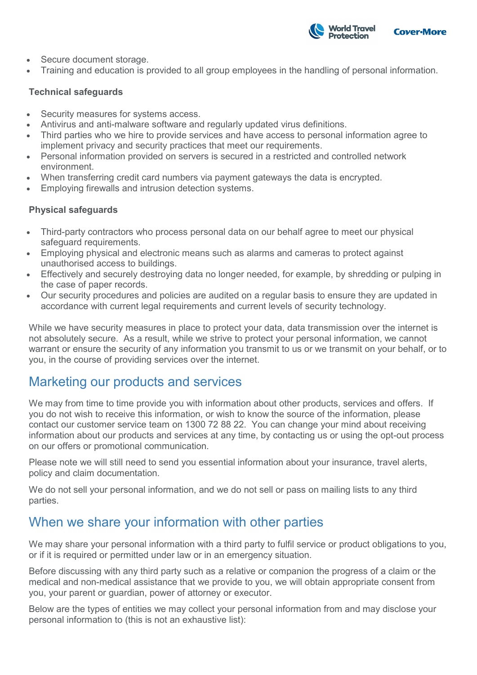

- Secure document storage.
- Training and education is provided to all group employees in the handling of personal information.

### **Technical safeguards**

- Security measures for systems access.
- Antivirus and anti-malware software and regularly updated virus definitions.
- Third parties who we hire to provide services and have access to personal information agree to implement privacy and security practices that meet our requirements.
- Personal information provided on servers is secured in a restricted and controlled network environment.
- When transferring credit card numbers via payment gateways the data is encrypted.
- Employing firewalls and intrusion detection systems.

### **Physical safeguards**

- Third-party contractors who process personal data on our behalf agree to meet our physical safeguard requirements.
- Employing physical and electronic means such as alarms and cameras to protect against unauthorised access to buildings.
- Effectively and securely destroying data no longer needed, for example, by shredding or pulping in the case of paper records.
- Our security procedures and policies are audited on a regular basis to ensure they are updated in accordance with current legal requirements and current levels of security technology.

While we have security measures in place to protect your data, data transmission over the internet is not absolutely secure. As a result, while we strive to protect your personal information, we cannot warrant or ensure the security of any information you transmit to us or we transmit on your behalf, or to you, in the course of providing services over the internet.

### Marketing our products and services

We may from time to time provide you with information about other products, services and offers. If you do not wish to receive this information, or wish to know the source of the information, please contact our customer service team on 1300 72 88 22. You can change your mind about receiving information about our products and services at any time, by contacting us or using the opt-out process on our offers or promotional communication.

Please note we will still need to send you essential information about your insurance, travel alerts, policy and claim documentation.

We do not sell your personal information, and we do not sell or pass on mailing lists to any third parties.

# When we share your information with other parties

We may share your personal information with a third party to fulfil service or product obligations to you, or if it is required or permitted under law or in an emergency situation.

Before discussing with any third party such as a relative or companion the progress of a claim or the medical and non-medical assistance that we provide to you, we will obtain appropriate consent from you, your parent or guardian, power of attorney or executor.

Below are the types of entities we may collect your personal information from and may disclose your personal information to (this is not an exhaustive list):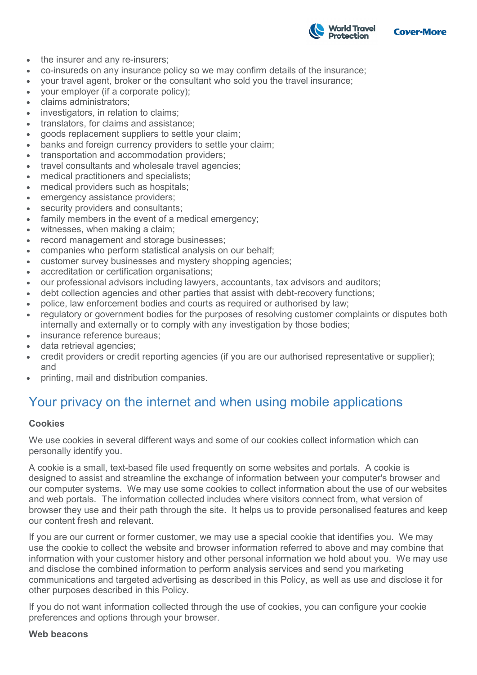

- the insurer and any re-insurers;
- co-insureds on any insurance policy so we may confirm details of the insurance;
- your travel agent, broker or the consultant who sold you the travel insurance;
- your employer (if a corporate policy);
- claims administrators;
- investigators, in relation to claims;
- translators, for claims and assistance;
- goods replacement suppliers to settle your claim;
- banks and foreign currency providers to settle your claim;
- transportation and accommodation providers;
- travel consultants and wholesale travel agencies;
- medical practitioners and specialists;
- medical providers such as hospitals;
- emergency assistance providers;
- security providers and consultants;
- family members in the event of a medical emergency;
- witnesses, when making a claim;
- record management and storage businesses;
- companies who perform statistical analysis on our behalf;
- customer survey businesses and mystery shopping agencies;
- accreditation or certification organisations;
- our professional advisors including lawyers, accountants, tax advisors and auditors;
- debt collection agencies and other parties that assist with debt-recovery functions;
- police, law enforcement bodies and courts as required or authorised by law;
- regulatory or government bodies for the purposes of resolving customer complaints or disputes both internally and externally or to comply with any investigation by those bodies;
- insurance reference bureaus:
- data retrieval agencies;
- credit providers or credit reporting agencies (if you are our authorised representative or supplier); and
- printing, mail and distribution companies.

# Your privacy on the internet and when using mobile applications

### **Cookies**

We use cookies in several different ways and some of our cookies collect information which can personally identify you.

A cookie is a small, text-based file used frequently on some websites and portals. A cookie is designed to assist and streamline the exchange of information between your computer's browser and our computer systems. We may use some cookies to collect information about the use of our websites and web portals. The information collected includes where visitors connect from, what version of browser they use and their path through the site. It helps us to provide personalised features and keep our content fresh and relevant.

If you are our current or former customer, we may use a special cookie that identifies you. We may use the cookie to collect the website and browser information referred to above and may combine that information with your customer history and other personal information we hold about you. We may use and disclose the combined information to perform analysis services and send you marketing communications and targeted advertising as described in this Policy, as well as use and disclose it for other purposes described in this Policy.

If you do not want information collected through the use of cookies, you can configure your cookie preferences and options through your browser.

### **Web beacons**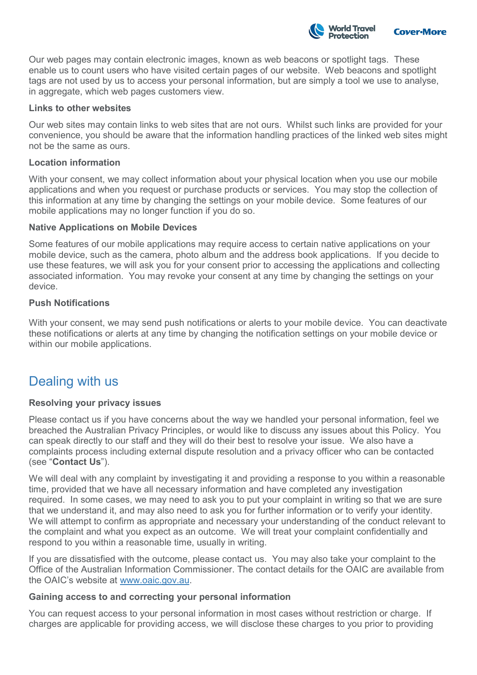

Our web pages may contain electronic images, known as web beacons or spotlight tags. These enable us to count users who have visited certain pages of our website. Web beacons and spotlight tags are not used by us to access your personal information, but are simply a tool we use to analyse, in aggregate, which web pages customers view.

### **Links to other websites**

Our web sites may contain links to web sites that are not ours. Whilst such links are provided for your convenience, you should be aware that the information handling practices of the linked web sites might not be the same as ours.

### **Location information**

With your consent, we may collect information about your physical location when you use our mobile applications and when you request or purchase products or services. You may stop the collection of this information at any time by changing the settings on your mobile device. Some features of our mobile applications may no longer function if you do so.

### **Native Applications on Mobile Devices**

Some features of our mobile applications may require access to certain native applications on your mobile device, such as the camera, photo album and the address book applications. If you decide to use these features, we will ask you for your consent prior to accessing the applications and collecting associated information. You may revoke your consent at any time by changing the settings on your device.

### **Push Notifications**

With your consent, we may send push notifications or alerts to your mobile device. You can deactivate these notifications or alerts at any time by changing the notification settings on your mobile device or within our mobile applications.

# Dealing with us

### **Resolving your privacy issues**

Please contact us if you have concerns about the way we handled your personal information, feel we breached the Australian Privacy Principles, or would like to discuss any issues about this Policy. You can speak directly to our staff and they will do their best to resolve your issue. We also have a complaints process including external dispute resolution and a privacy officer who can be contacted (see "**Contact Us**").

We will deal with any complaint by investigating it and providing a response to you within a reasonable time, provided that we have all necessary information and have completed any investigation required. In some cases, we may need to ask you to put your complaint in writing so that we are sure that we understand it, and may also need to ask you for further information or to verify your identity. We will attempt to confirm as appropriate and necessary your understanding of the conduct relevant to the complaint and what you expect as an outcome. We will treat your complaint confidentially and respond to you within a reasonable time, usually in writing.

If you are dissatisfied with the outcome, please contact us. You may also take your complaint to the Office of the Australian Information Commissioner. The contact details for the OAIC are available from the OAIC's website at [www.oaic.gov.au.](http://www.oaic.gov.au/)

### **Gaining access to and correcting your personal information**

You can request access to your personal information in most cases without restriction or charge. If charges are applicable for providing access, we will disclose these charges to you prior to providing